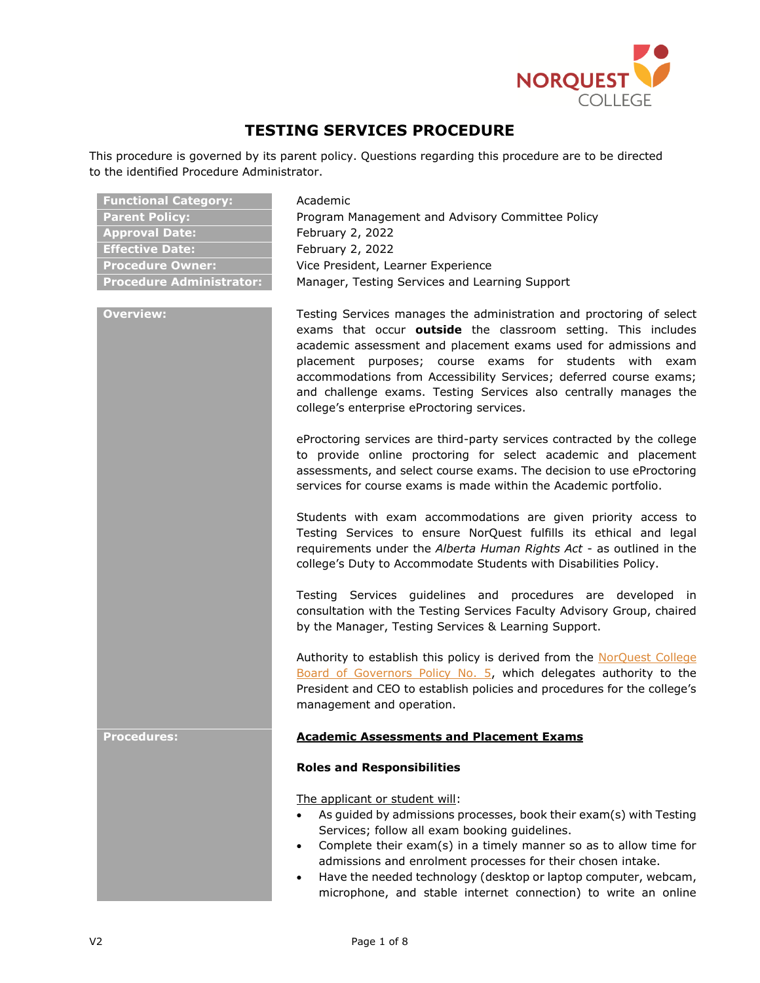

# **TESTING SERVICES PROCEDURE**

This procedure is governed by its parent policy. Questions regarding this procedure are to be directed to the identified Procedure Administrator.

| <b>Functional Category:</b>     | Academic                                                                                                                                                                                                                                                                                                                                                                                                                                                       |
|---------------------------------|----------------------------------------------------------------------------------------------------------------------------------------------------------------------------------------------------------------------------------------------------------------------------------------------------------------------------------------------------------------------------------------------------------------------------------------------------------------|
| <b>Parent Policy:</b>           | Program Management and Advisory Committee Policy                                                                                                                                                                                                                                                                                                                                                                                                               |
| <b>Approval Date:</b>           | February 2, 2022                                                                                                                                                                                                                                                                                                                                                                                                                                               |
| <b>Effective Date:</b>          | February 2, 2022                                                                                                                                                                                                                                                                                                                                                                                                                                               |
| <b>Procedure Owner:</b>         | Vice President, Learner Experience                                                                                                                                                                                                                                                                                                                                                                                                                             |
| <b>Procedure Administrator:</b> | Manager, Testing Services and Learning Support                                                                                                                                                                                                                                                                                                                                                                                                                 |
| <b>Overview:</b>                | Testing Services manages the administration and proctoring of select<br>exams that occur outside the classroom setting. This includes<br>academic assessment and placement exams used for admissions and<br>placement purposes; course exams for students with<br>exam<br>accommodations from Accessibility Services; deferred course exams;<br>and challenge exams. Testing Services also centrally manages the<br>college's enterprise eProctoring services. |
|                                 | eProctoring services are third-party services contracted by the college<br>to provide online proctoring for select academic and placement<br>assessments, and select course exams. The decision to use eProctoring<br>services for course exams is made within the Academic portfolio.                                                                                                                                                                         |
|                                 | Students with exam accommodations are given priority access to<br>Testing Services to ensure NorQuest fulfills its ethical and legal<br>requirements under the Alberta Human Rights Act - as outlined in the<br>college's Duty to Accommodate Students with Disabilities Policy.                                                                                                                                                                               |
|                                 | Testing Services guidelines and procedures are developed in<br>consultation with the Testing Services Faculty Advisory Group, chaired<br>by the Manager, Testing Services & Learning Support.                                                                                                                                                                                                                                                                  |
|                                 | Authority to establish this policy is derived from the NorQuest College<br>Board of Governors Policy No. 5, which delegates authority to the<br>President and CEO to establish policies and procedures for the college's<br>management and operation.                                                                                                                                                                                                          |
| <b>Procedures:</b>              | <b>Academic Assessments and Placement Exams</b>                                                                                                                                                                                                                                                                                                                                                                                                                |
|                                 | <b>Roles and Responsibilities</b>                                                                                                                                                                                                                                                                                                                                                                                                                              |
|                                 | The applicant or student will:<br>As guided by admissions processes, book their exam(s) with Testing<br>Services; follow all exam booking guidelines.<br>Complete their exam(s) in a timely manner so as to allow time for<br>$\bullet$<br>admissions and enrolment processes for their chosen intake.<br>Have the needed technology (desktop or laptop computer, webcam,<br>$\bullet$<br>microphone, and stable internet connection) to write an online       |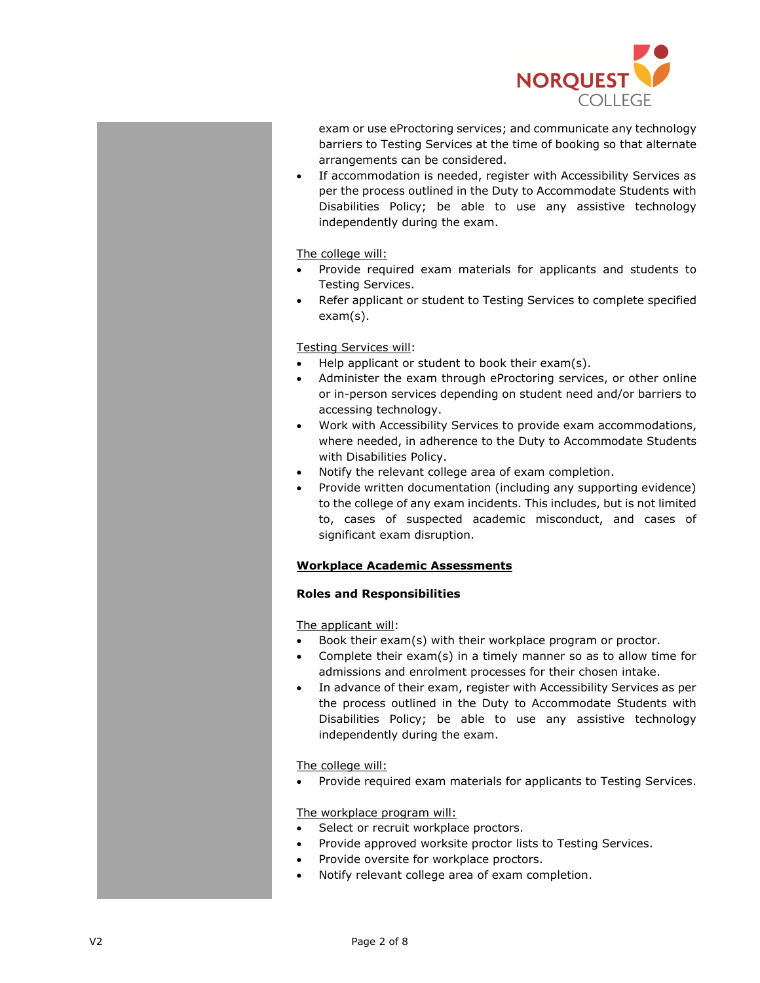

exam or use eProctoring services; and communicate any technology barriers to Testing Services at the time of booking so that alternate arrangements can be considered.

• If accommodation is needed, register with Accessibility Services as per the process outlined in the Duty to Accommodate Students with Disabilities Policy; be able to use any assistive technology independently during the exam.

The college will:

- Provide required exam materials for applicants and students to Testing Services.
- Refer applicant or student to Testing Services to complete specified exam(s).

Testing Services will:

- Help applicant or student to book their exam(s).
- Administer the exam through eProctoring services, or other online or in-person services depending on student need and/or barriers to accessing technology.
- Work with Accessibility Services to provide exam accommodations, where needed, in adherence to the Duty to Accommodate Students with Disabilities Policy.
- Notify the relevant college area of exam completion.
- Provide written documentation (including any supporting evidence) to the college of any exam incidents. This includes, but is not limited to, cases of suspected academic misconduct, and cases of significant exam disruption.

# **Workplace Academic Assessments**

## **Roles and Responsibilities**

The applicant will:

- Book their exam(s) with their workplace program or proctor.
- Complete their exam(s) in a timely manner so as to allow time for admissions and enrolment processes for their chosen intake.
- In advance of their exam, register with Accessibility Services as per the process outlined in the Duty to Accommodate Students with Disabilities Policy; be able to use any assistive technology independently during the exam.

The college will:

• Provide required exam materials for applicants to Testing Services.

## The workplace program will:

- Select or recruit workplace proctors.
- Provide approved worksite proctor lists to Testing Services.
- Provide oversite for workplace proctors.
- Notify relevant college area of exam completion.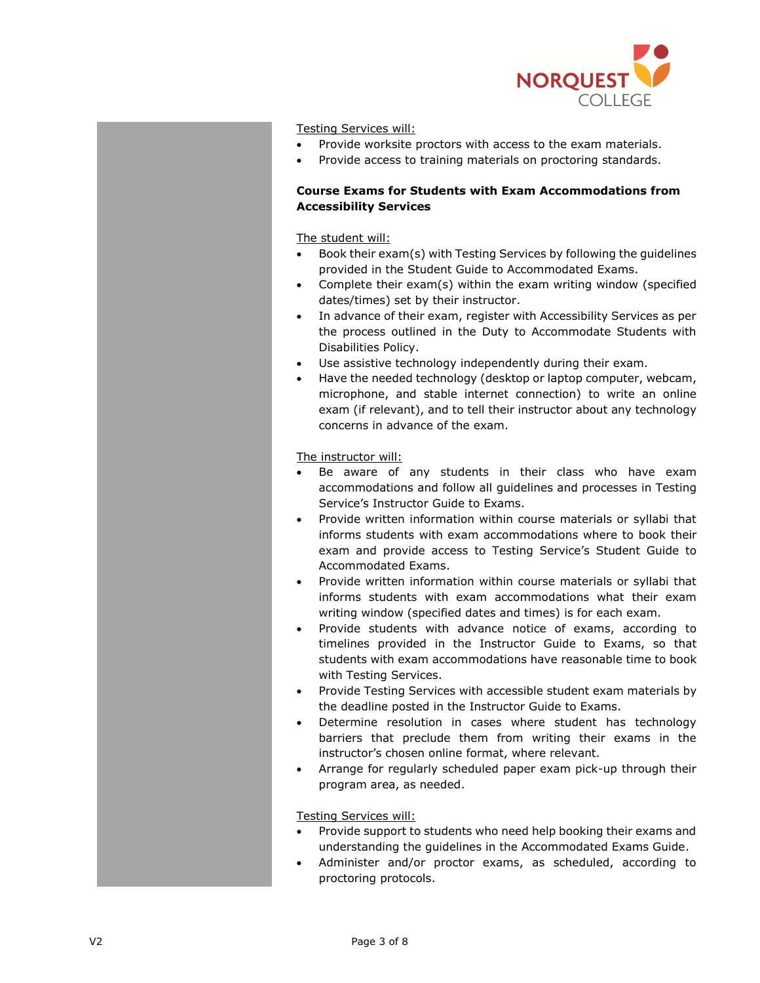

Testing Services will:

- Provide worksite proctors with access to the exam materials.
- Provide access to training materials on proctoring standards.

# **Course Exams for Students with Exam Accommodations from Accessibility Services**

#### The student will:

- Book their exam(s) with Testing Services by following the guidelines provided in the Student Guide to Accommodated Exams.
- Complete their exam(s) within the exam writing window (specified dates/times) set by their instructor.
- In advance of their exam, register with Accessibility Services as per the process outlined in the Duty to Accommodate Students with Disabilities Policy.
- Use assistive technology independently during their exam.
- Have the needed technology (desktop or laptop computer, webcam, microphone, and stable internet connection) to write an online exam (if relevant), and to tell their instructor about any technology concerns in advance of the exam.

#### The instructor will:

- Be aware of any students in their class who have exam accommodations and follow all guidelines and processes in Testing Service's Instructor Guide to Exams.
- Provide written information within course materials or syllabi that informs students with exam accommodations where to book their exam and provide access to Testing Service's Student Guide to Accommodated Exams.
- Provide written information within course materials or syllabi that informs students with exam accommodations what their exam writing window (specified dates and times) is for each exam.
- Provide students with advance notice of exams, according to timelines provided in the Instructor Guide to Exams, so that students with exam accommodations have reasonable time to book with Testing Services.
- Provide Testing Services with accessible student exam materials by the deadline posted in the Instructor Guide to Exams.
- Determine resolution in cases where student has technology barriers that preclude them from writing their exams in the instructor's chosen online format, where relevant.
- Arrange for regularly scheduled paper exam pick-up through their program area, as needed.

#### Testing Services will:

- Provide support to students who need help booking their exams and understanding the guidelines in the Accommodated Exams Guide.
- Administer and/or proctor exams, as scheduled, according to proctoring protocols.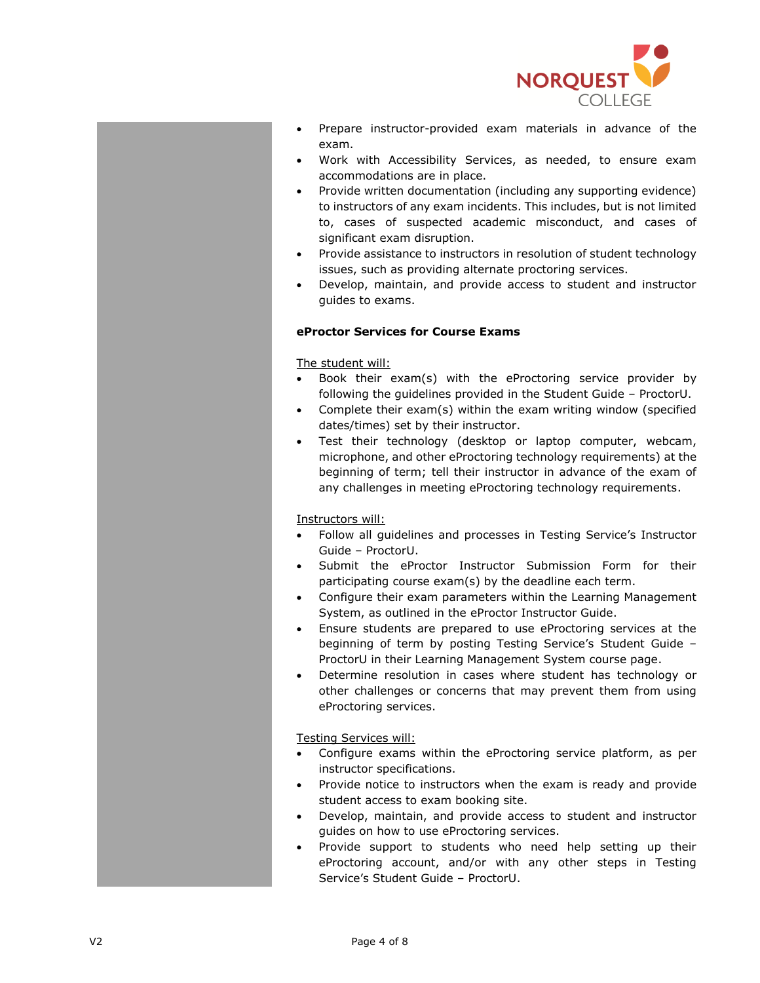

- Prepare instructor-provided exam materials in advance of the exam.
- Work with Accessibility Services, as needed, to ensure exam accommodations are in place.
- Provide written documentation (including any supporting evidence) to instructors of any exam incidents. This includes, but is not limited to, cases of suspected academic misconduct, and cases of significant exam disruption.
- Provide assistance to instructors in resolution of student technology issues, such as providing alternate proctoring services.
- Develop, maintain, and provide access to student and instructor guides to exams.

# **eProctor Services for Course Exams**

## The student will:

- Book their exam(s) with the eProctoring service provider by following the guidelines provided in the Student Guide – ProctorU.
- Complete their exam(s) within the exam writing window (specified dates/times) set by their instructor.
- Test their technology (desktop or laptop computer, webcam, microphone, and other eProctoring technology requirements) at the beginning of term; tell their instructor in advance of the exam of any challenges in meeting eProctoring technology requirements.

## Instructors will:

- Follow all guidelines and processes in Testing Service's Instructor Guide – ProctorU.
- Submit the eProctor Instructor Submission Form for their participating course exam(s) by the deadline each term.
- Configure their exam parameters within the Learning Management System, as outlined in the eProctor Instructor Guide.
- Ensure students are prepared to use eProctoring services at the beginning of term by posting Testing Service's Student Guide – ProctorU in their Learning Management System course page.
- Determine resolution in cases where student has technology or other challenges or concerns that may prevent them from using eProctoring services.

## Testing Services will:

- Configure exams within the eProctoring service platform, as per instructor specifications.
- Provide notice to instructors when the exam is ready and provide student access to exam booking site.
- Develop, maintain, and provide access to student and instructor guides on how to use eProctoring services.
- Provide support to students who need help setting up their eProctoring account, and/or with any other steps in Testing Service's Student Guide – ProctorU.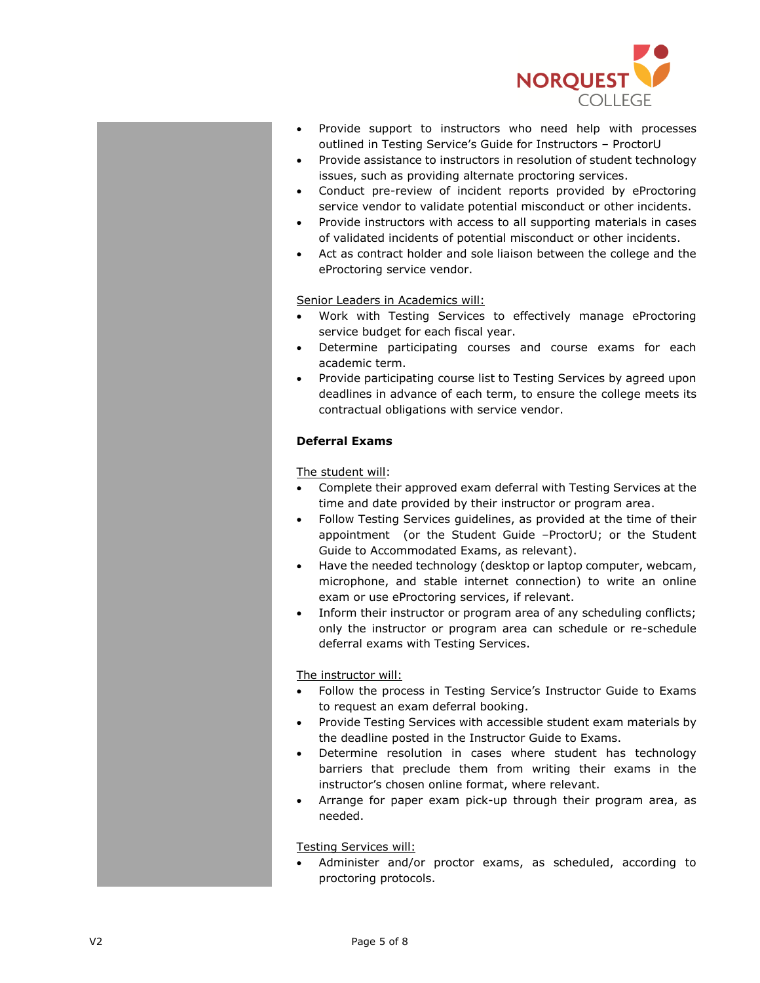

- Provide support to instructors who need help with processes outlined in Testing Service's Guide for Instructors – ProctorU
- Provide assistance to instructors in resolution of student technology issues, such as providing alternate proctoring services.
- Conduct pre-review of incident reports provided by eProctoring service vendor to validate potential misconduct or other incidents.
- Provide instructors with access to all supporting materials in cases of validated incidents of potential misconduct or other incidents.
- Act as contract holder and sole liaison between the college and the eProctoring service vendor.

# Senior Leaders in Academics will:

- Work with Testing Services to effectively manage eProctoring service budget for each fiscal year.
- Determine participating courses and course exams for each academic term.
- Provide participating course list to Testing Services by agreed upon deadlines in advance of each term, to ensure the college meets its contractual obligations with service vendor.

# **Deferral Exams**

The student will:

- Complete their approved exam deferral with Testing Services at the time and date provided by their instructor or program area.
- Follow Testing Services guidelines, as provided at the time of their appointment (or the Student Guide –ProctorU; or the Student Guide to Accommodated Exams, as relevant).
- Have the needed technology (desktop or laptop computer, webcam, microphone, and stable internet connection) to write an online exam or use eProctoring services, if relevant.
- Inform their instructor or program area of any scheduling conflicts; only the instructor or program area can schedule or re-schedule deferral exams with Testing Services.

The instructor will:

- Follow the process in Testing Service's Instructor Guide to Exams to request an exam deferral booking.
- Provide Testing Services with accessible student exam materials by the deadline posted in the Instructor Guide to Exams.
- Determine resolution in cases where student has technology barriers that preclude them from writing their exams in the instructor's chosen online format, where relevant.
- Arrange for paper exam pick-up through their program area, as needed.

Testing Services will:

Administer and/or proctor exams, as scheduled, according to proctoring protocols.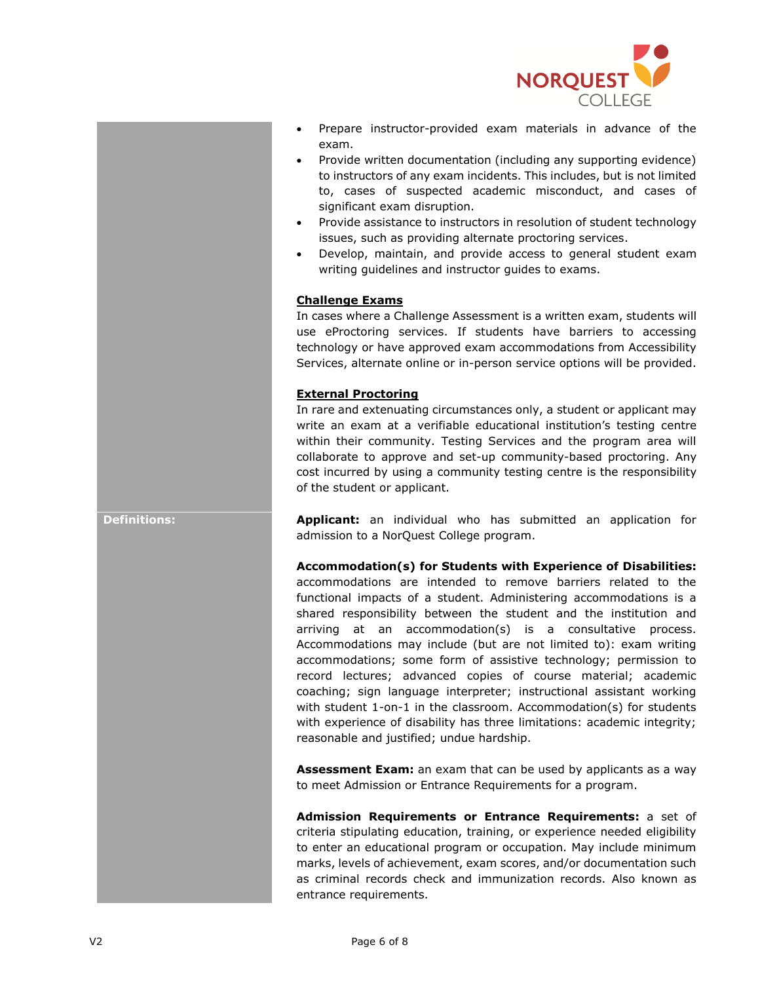

- Prepare instructor-provided exam materials in advance of the exam.
- Provide written documentation (including any supporting evidence) to instructors of any exam incidents. This includes, but is not limited to, cases of suspected academic misconduct, and cases of significant exam disruption.
- Provide assistance to instructors in resolution of student technology issues, such as providing alternate proctoring services.
- Develop, maintain, and provide access to general student exam writing guidelines and instructor guides to exams.

# **Challenge Exams**

In cases where a Challenge Assessment is a written exam, students will use eProctoring services. If students have barriers to accessing technology or have approved exam accommodations from Accessibility Services, alternate online or in-person service options will be provided.

## **External Proctoring**

In rare and extenuating circumstances only, a student or applicant may write an exam at a verifiable educational institution's testing centre within their community. Testing Services and the program area will collaborate to approve and set-up community-based proctoring. Any cost incurred by using a community testing centre is the responsibility of the student or applicant.

**Definitions: Applicant:** an individual who has submitted an application for admission to a NorQuest College program.

**Accommodation(s) for Students with Experience of Disabilities:**

accommodations are intended to remove barriers related to the functional impacts of a student. Administering accommodations is a shared responsibility between the student and the institution and arriving at an accommodation(s) is a consultative process. Accommodations may include (but are not limited to): exam writing accommodations; some form of assistive technology; permission to record lectures; advanced copies of course material; academic coaching; sign language interpreter; instructional assistant working with student 1-on-1 in the classroom. Accommodation(s) for students with experience of disability has three limitations: academic integrity; reasonable and justified; undue hardship.

**Assessment Exam:** an exam that can be used by applicants as a way to meet Admission or Entrance Requirements for a program.

**Admission Requirements or Entrance Requirements:** a set of criteria stipulating education, training, or experience needed eligibility to enter an educational program or occupation. May include minimum marks, levels of achievement, exam scores, and/or documentation such as criminal records check and immunization records. Also known as entrance requirements.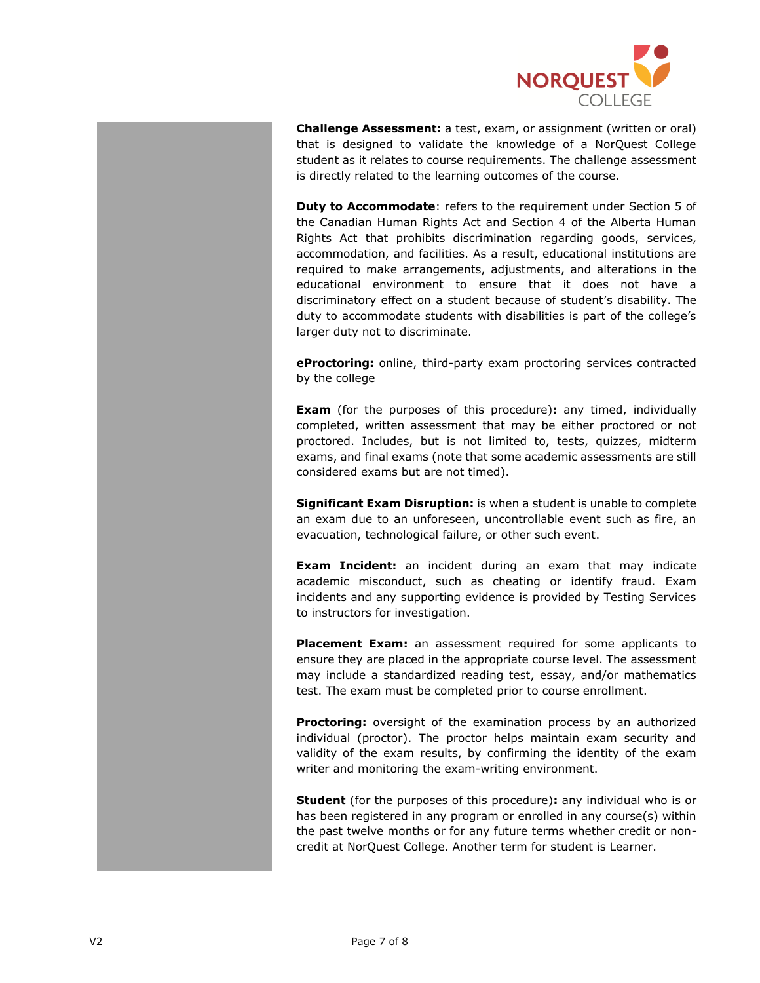

**Challenge Assessment:** a test, exam, or assignment (written or oral) that is designed to validate the knowledge of a NorQuest College student as it relates to course requirements. The challenge assessment is directly related to the learning outcomes of the course.

**Duty to Accommodate**: refers to the requirement under Section 5 of the Canadian Human Rights Act and Section 4 of the Alberta Human Rights Act that prohibits discrimination regarding goods, services, accommodation, and facilities. As a result, educational institutions are required to make arrangements, adjustments, and alterations in the educational environment to ensure that it does not have a discriminatory effect on a student because of student's disability. The duty to accommodate students with disabilities is part of the college's larger duty not to discriminate.

**eProctoring:** online, third-party exam proctoring services contracted by the college

**Exam** (for the purposes of this procedure)**:** any timed, individually completed, written assessment that may be either proctored or not proctored. Includes, but is not limited to, tests, quizzes, midterm exams, and final exams (note that some academic assessments are still considered exams but are not timed).

**Significant Exam Disruption:** is when a student is unable to complete an exam due to an unforeseen, uncontrollable event such as fire, an evacuation, technological failure, or other such event.

**Exam Incident:** an incident during an exam that may indicate academic misconduct, such as cheating or identify fraud. Exam incidents and any supporting evidence is provided by Testing Services to instructors for investigation.

**Placement Exam:** an assessment required for some applicants to ensure they are placed in the appropriate course level. The assessment may include a standardized reading test, essay, and/or mathematics test. The exam must be completed prior to course enrollment.

**Proctoring:** oversight of the examination process by an authorized individual (proctor). The proctor helps maintain exam security and validity of the exam results, by confirming the identity of the exam writer and monitoring the exam-writing environment.

**Student** (for the purposes of this procedure)**:** any individual who is or has been registered in any program or enrolled in any course(s) within the past twelve months or for any future terms whether credit or noncredit at NorQuest College. Another term for student is Learner.